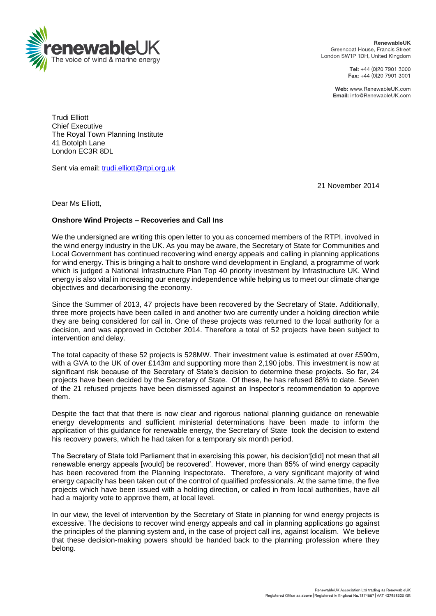

RenewableUK Greencoat House, Francis Street London SW1P 1DH, United Kingdom

> Tel: +44 (0)20 7901 3000 Fax: +44 (0)20 7901 3001

Web: www.RenewableUK.com **Email:** info@BenewableLIK.com

Trudi Elliott Chief Executive The Royal Town Planning Institute 41 Botolph Lane London EC3R 8DL

Sent via email: [trudi.elliott@rtpi.org.uk](mailto:trudi.elliott@rtpi.org.uk)

21 November 2014

Dear Ms Elliott,

## **Onshore Wind Projects – Recoveries and Call Ins**

We the undersigned are writing this open letter to you as concerned members of the RTPI, involved in the wind energy industry in the UK. As you may be aware, the Secretary of State for Communities and Local Government has continued recovering wind energy appeals and calling in planning applications for wind energy. This is bringing a halt to onshore wind development in England, a programme of work which is judged a National Infrastructure Plan Top 40 priority investment by Infrastructure UK. Wind energy is also vital in increasing our energy independence while helping us to meet our climate change objectives and decarbonising the economy.

Since the Summer of 2013, 47 projects have been recovered by the Secretary of State. Additionally, three more projects have been called in and another two are currently under a holding direction while they are being considered for call in. One of these projects was returned to the local authority for a decision, and was approved in October 2014. Therefore a total of 52 projects have been subject to intervention and delay.

The total capacity of these 52 projects is 528MW. Their investment value is estimated at over £590m, with a GVA to the UK of over £143m and supporting more than 2,190 jobs. This investment is now at significant risk because of the Secretary of State's decision to determine these projects. So far, 24 projects have been decided by the Secretary of State. Of these, he has refused 88% to date. Seven of the 21 refused projects have been dismissed against an Inspector's recommendation to approve them.

Despite the fact that that there is now clear and rigorous national planning guidance on renewable energy developments and sufficient ministerial determinations have been made to inform the application of this guidance for renewable energy, the Secretary of State took the decision to extend his recovery powers, which he had taken for a temporary six month period.

The Secretary of State told Parliament that in exercising this power, his decision'[did] not mean that all renewable energy appeals [would] be recovered'. However, more than 85% of wind energy capacity has been recovered from the Planning Inspectorate. Therefore, a very significant majority of wind energy capacity has been taken out of the control of qualified professionals. At the same time, the five projects which have been issued with a holding direction, or called in from local authorities, have all had a majority vote to approve them, at local level.

In our view, the level of intervention by the Secretary of State in planning for wind energy projects is excessive. The decisions to recover wind energy appeals and call in planning applications go against the principles of the planning system and, in the case of project call ins, against localism. We believe that these decision-making powers should be handed back to the planning profession where they belong.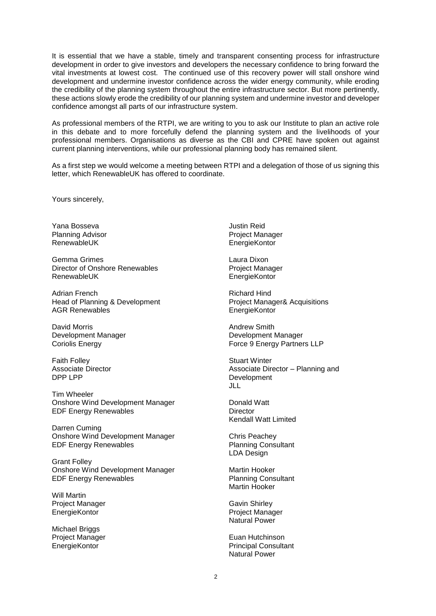It is essential that we have a stable, timely and transparent consenting process for infrastructure development in order to give investors and developers the necessary confidence to bring forward the vital investments at lowest cost. The continued use of this recovery power will stall onshore wind development and undermine investor confidence across the wider energy community, while eroding the credibility of the planning system throughout the entire infrastructure sector. But more pertinently, these actions slowly erode the credibility of our planning system and undermine investor and developer confidence amongst all parts of our infrastructure system.

As professional members of the RTPI, we are writing to you to ask our Institute to plan an active role in this debate and to more forcefully defend the planning system and the livelihoods of your professional members. Organisations as diverse as the CBI and CPRE have spoken out against current planning interventions, while our professional planning body has remained silent.

As a first step we would welcome a meeting between RTPI and a delegation of those of us signing this letter, which RenewableUK has offered to coordinate.

Yours sincerely,

Yana Bosseva Planning Advisor RenewableUK

Gemma Grimes Director of Onshore Renewables RenewableUK

Adrian French Head of Planning & Development AGR Renewables

David Morris Development Manager Coriolis Energy

Faith Folley Associate Director DPP LPP

Tim Wheeler Onshore Wind Development Manager EDF Energy Renewables

Darren Cuming Onshore Wind Development Manager EDF Energy Renewables

Grant Folley Onshore Wind Development Manager EDF Energy Renewables

Will Martin Project Manager EnergieKontor

Michael Briggs Project Manager **EnergieKontor** 

Justin Reid Project Manager **EnergieKontor** 

Laura Dixon Project Manager EnergieKontor

Richard Hind Project Manager& Acquisitions EnergieKontor

Andrew Smith Development Manager Force 9 Energy Partners LLP

Stuart Winter Associate Director – Planning and Development JLL

Donald Watt **Director** Kendall Watt Limited

Chris Peachey Planning Consultant LDA Design

Martin Hooker Planning Consultant Martin Hooker

Gavin Shirley Project Manager Natural Power

Euan Hutchinson Principal Consultant Natural Power